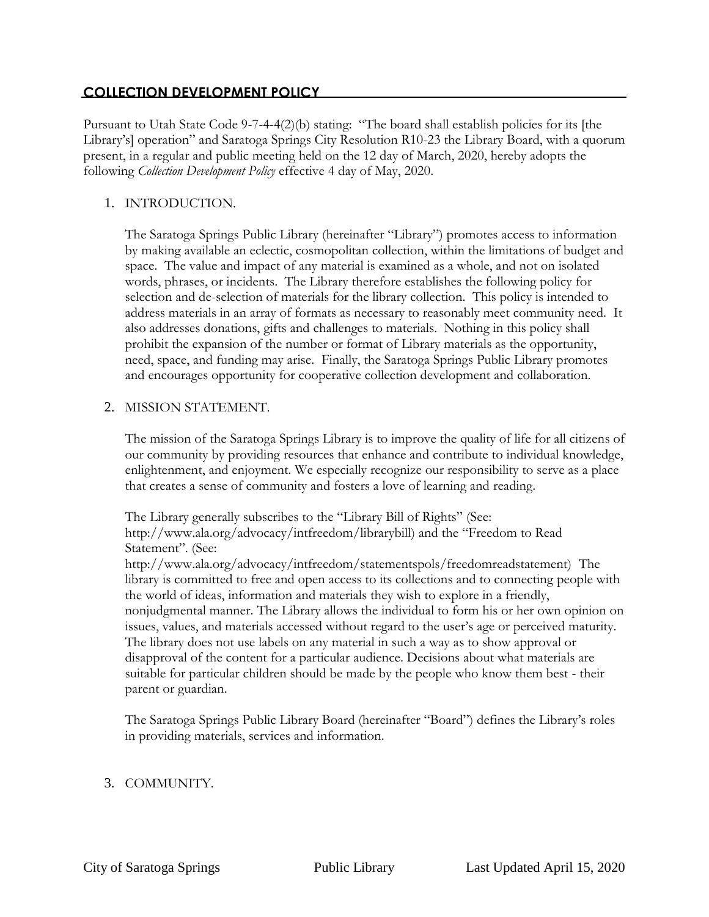# **COLLECTION DEVELOPMENT POLICY**

Pursuant to Utah State Code 9-7-4-4(2)(b) stating: "The board shall establish policies for its [the Library's] operation" and Saratoga Springs City Resolution R10-23 the Library Board, with a quorum present, in a regular and public meeting held on the 12 day of March, 2020, hereby adopts the following *Collection Development Policy* effective 4 day of May, 2020.

## 1. INTRODUCTION.

The Saratoga Springs Public Library (hereinafter "Library") promotes access to information by making available an eclectic, cosmopolitan collection, within the limitations of budget and space. The value and impact of any material is examined as a whole, and not on isolated words, phrases, or incidents. The Library therefore establishes the following policy for selection and de-selection of materials for the library collection. This policy is intended to address materials in an array of formats as necessary to reasonably meet community need. It also addresses donations, gifts and challenges to materials. Nothing in this policy shall prohibit the expansion of the number or format of Library materials as the opportunity, need, space, and funding may arise. Finally, the Saratoga Springs Public Library promotes and encourages opportunity for cooperative collection development and collaboration.

### 2. MISSION STATEMENT.

The mission of the Saratoga Springs Library is to improve the quality of life for all citizens of our community by providing resources that enhance and contribute to individual knowledge, enlightenment, and enjoyment. We especially recognize our responsibility to serve as a place that creates a sense of community and fosters a love of learning and reading.

The Library generally subscribes to the "Library Bill of Rights" (See: http://www.ala.org/advocacy/intfreedom/librarybill) and the "Freedom to Read Statement". (See: http://www.ala.org/advocacy/intfreedom/statementspols/freedomreadstatement) The library is committed to free and open access to its collections and to connecting people with the world of ideas, information and materials they wish to explore in a friendly, nonjudgmental manner. The Library allows the individual to form his or her own opinion on issues, values, and materials accessed without regard to the user's age or perceived maturity. The library does not use labels on any material in such a way as to show approval or disapproval of the content for a particular audience. Decisions about what materials are suitable for particular children should be made by the people who know them best - their parent or guardian.

The Saratoga Springs Public Library Board (hereinafter "Board") defines the Library's roles in providing materials, services and information.

# 3. COMMUNITY.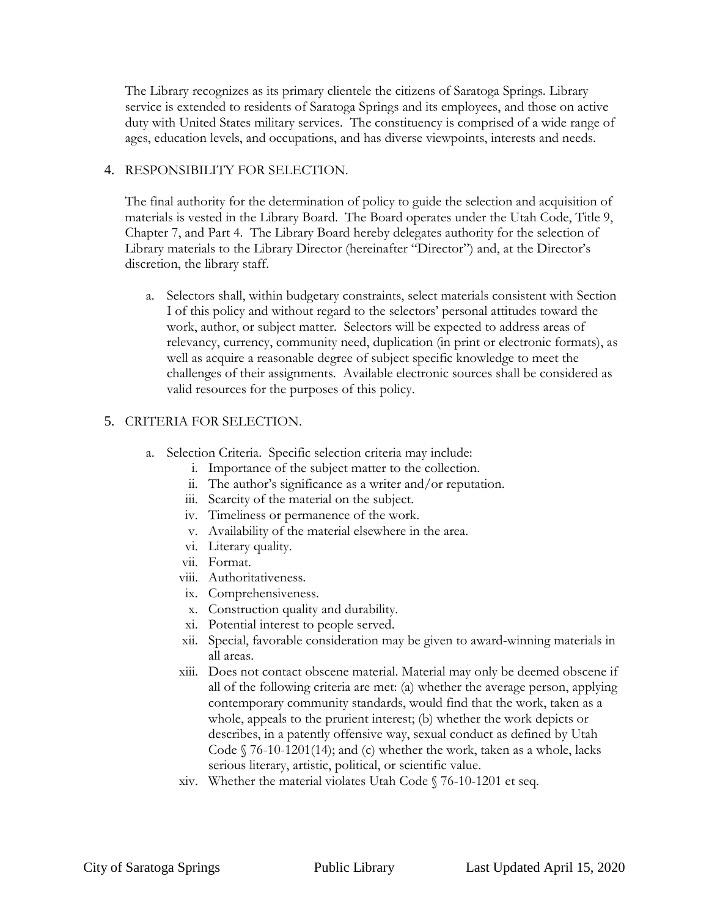The Library recognizes as its primary clientele the citizens of Saratoga Springs. Library service is extended to residents of Saratoga Springs and its employees, and those on active duty with United States military services. The constituency is comprised of a wide range of ages, education levels, and occupations, and has diverse viewpoints, interests and needs.

### 4. RESPONSIBILITY FOR SELECTION.

The final authority for the determination of policy to guide the selection and acquisition of materials is vested in the Library Board. The Board operates under the Utah Code, Title 9, Chapter 7, and Part 4. The Library Board hereby delegates authority for the selection of Library materials to the Library Director (hereinafter "Director") and, at the Director's discretion, the library staff.

a. Selectors shall, within budgetary constraints, select materials consistent with Section I of this policy and without regard to the selectors' personal attitudes toward the work, author, or subject matter. Selectors will be expected to address areas of relevancy, currency, community need, duplication (in print or electronic formats), as well as acquire a reasonable degree of subject specific knowledge to meet the challenges of their assignments. Available electronic sources shall be considered as valid resources for the purposes of this policy.

# 5. CRITERIA FOR SELECTION.

- a. Selection Criteria. Specific selection criteria may include:
	- i. Importance of the subject matter to the collection.
	- ii. The author's significance as a writer and/or reputation.
	- iii. Scarcity of the material on the subject.
	- iv. Timeliness or permanence of the work.
	- v. Availability of the material elsewhere in the area.
	- vi. Literary quality.
	- vii. Format.
	- viii. Authoritativeness.
	- ix. Comprehensiveness.
	- x. Construction quality and durability.
	- xi. Potential interest to people served.
	- xii. Special, favorable consideration may be given to award-winning materials in all areas.
	- xiii. Does not contact obscene material. Material may only be deemed obscene if all of the following criteria are met: (a) whether the average person, applying contemporary community standards, would find that the work, taken as a whole, appeals to the prurient interest; (b) whether the work depicts or describes, in a patently offensive way, sexual conduct as defined by Utah Code § 76-10-1201(14); and (c) whether the work, taken as a whole, lacks serious literary, artistic, political, or scientific value.
	- xiv. Whether the material violates Utah Code § 76-10-1201 et seq.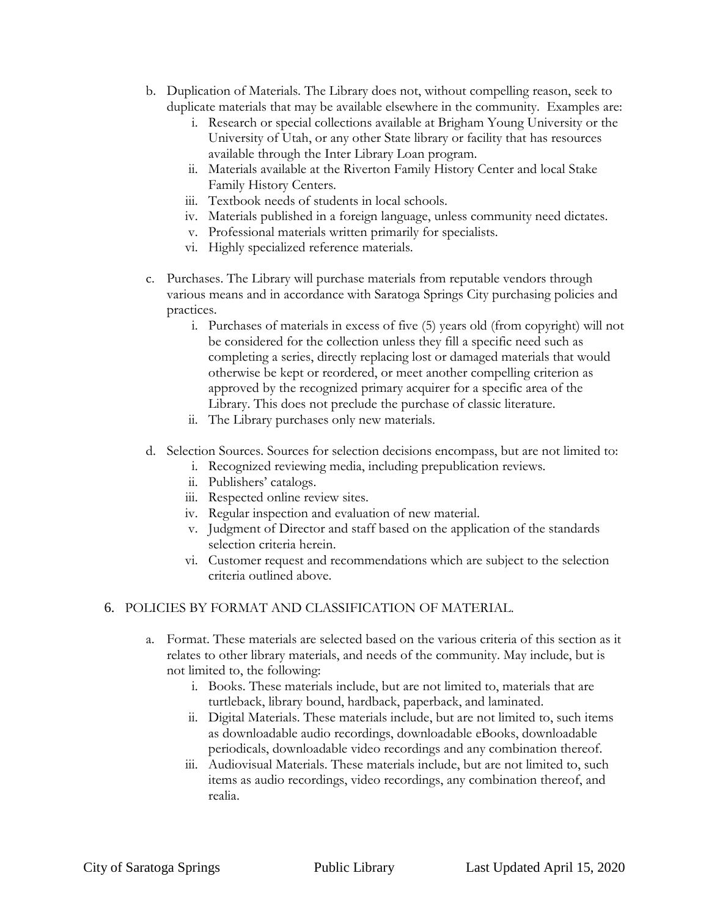- b. Duplication of Materials. The Library does not, without compelling reason, seek to duplicate materials that may be available elsewhere in the community. Examples are:
	- i. Research or special collections available at Brigham Young University or the University of Utah, or any other State library or facility that has resources available through the Inter Library Loan program.
	- ii. Materials available at the Riverton Family History Center and local Stake Family History Centers.
	- iii. Textbook needs of students in local schools.
	- iv. Materials published in a foreign language, unless community need dictates.
	- v. Professional materials written primarily for specialists.
	- vi. Highly specialized reference materials.
- c. Purchases. The Library will purchase materials from reputable vendors through various means and in accordance with Saratoga Springs City purchasing policies and practices.
	- i. Purchases of materials in excess of five (5) years old (from copyright) will not be considered for the collection unless they fill a specific need such as completing a series, directly replacing lost or damaged materials that would otherwise be kept or reordered, or meet another compelling criterion as approved by the recognized primary acquirer for a specific area of the Library. This does not preclude the purchase of classic literature.
	- ii. The Library purchases only new materials.
- d. Selection Sources. Sources for selection decisions encompass, but are not limited to:
	- i. Recognized reviewing media, including prepublication reviews.
	- ii. Publishers' catalogs.
	- iii. Respected online review sites.
	- iv. Regular inspection and evaluation of new material.
	- v. Judgment of Director and staff based on the application of the standards selection criteria herein.
	- vi. Customer request and recommendations which are subject to the selection criteria outlined above.

#### 6. POLICIES BY FORMAT AND CLASSIFICATION OF MATERIAL.

- a. Format. These materials are selected based on the various criteria of this section as it relates to other library materials, and needs of the community. May include, but is not limited to, the following:
	- i. Books. These materials include, but are not limited to, materials that are turtleback, library bound, hardback, paperback, and laminated.
	- ii. Digital Materials. These materials include, but are not limited to, such items as downloadable audio recordings, downloadable eBooks, downloadable periodicals, downloadable video recordings and any combination thereof.
	- iii. Audiovisual Materials. These materials include, but are not limited to, such items as audio recordings, video recordings, any combination thereof, and realia.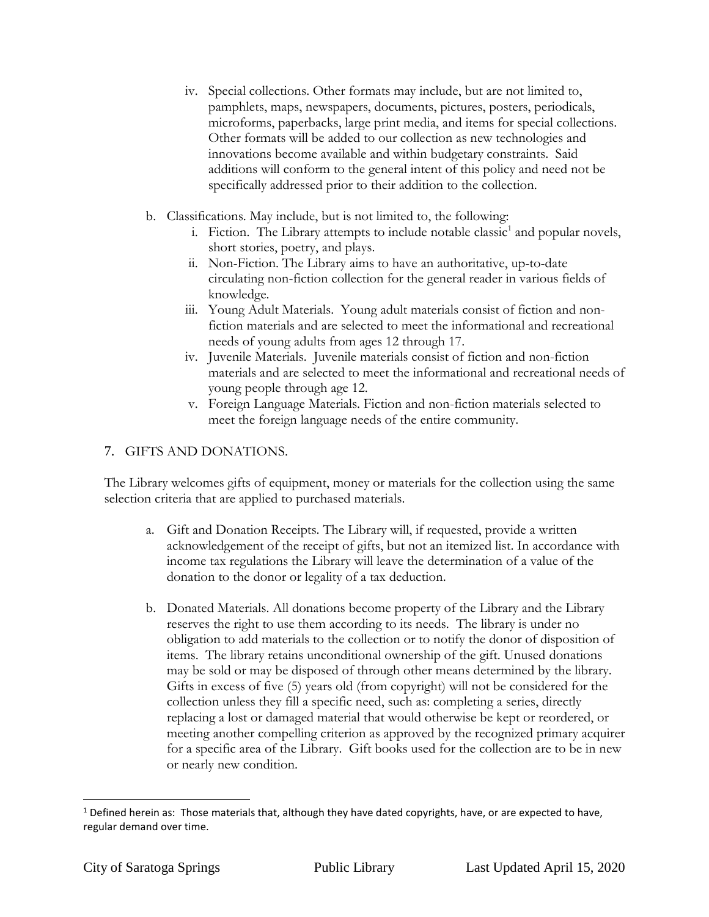- iv. Special collections. Other formats may include, but are not limited to, pamphlets, maps, newspapers, documents, pictures, posters, periodicals, microforms, paperbacks, large print media, and items for special collections. Other formats will be added to our collection as new technologies and innovations become available and within budgetary constraints. Said additions will conform to the general intent of this policy and need not be specifically addressed prior to their addition to the collection.
- b. Classifications. May include, but is not limited to, the following:
	- i. Fiction. The Library attempts to include notable classic<sup>1</sup> and popular novels, short stories, poetry, and plays.
	- ii. Non-Fiction. The Library aims to have an authoritative, up-to-date circulating non-fiction collection for the general reader in various fields of knowledge.
	- iii. Young Adult Materials. Young adult materials consist of fiction and nonfiction materials and are selected to meet the informational and recreational needs of young adults from ages 12 through 17.
	- iv. Juvenile Materials. Juvenile materials consist of fiction and non-fiction materials and are selected to meet the informational and recreational needs of young people through age 12.
	- v. Foreign Language Materials. Fiction and non-fiction materials selected to meet the foreign language needs of the entire community.

## 7. GIFTS AND DONATIONS.

The Library welcomes gifts of equipment, money or materials for the collection using the same selection criteria that are applied to purchased materials.

- a. Gift and Donation Receipts. The Library will, if requested, provide a written acknowledgement of the receipt of gifts, but not an itemized list. In accordance with income tax regulations the Library will leave the determination of a value of the donation to the donor or legality of a tax deduction.
- b. Donated Materials. All donations become property of the Library and the Library reserves the right to use them according to its needs. The library is under no obligation to add materials to the collection or to notify the donor of disposition of items. The library retains unconditional ownership of the gift. Unused donations may be sold or may be disposed of through other means determined by the library. Gifts in excess of five (5) years old (from copyright) will not be considered for the collection unless they fill a specific need, such as: completing a series, directly replacing a lost or damaged material that would otherwise be kept or reordered, or meeting another compelling criterion as approved by the recognized primary acquirer for a specific area of the Library. Gift books used for the collection are to be in new or nearly new condition.

l  $1$  Defined herein as: Those materials that, although they have dated copyrights, have, or are expected to have, regular demand over time.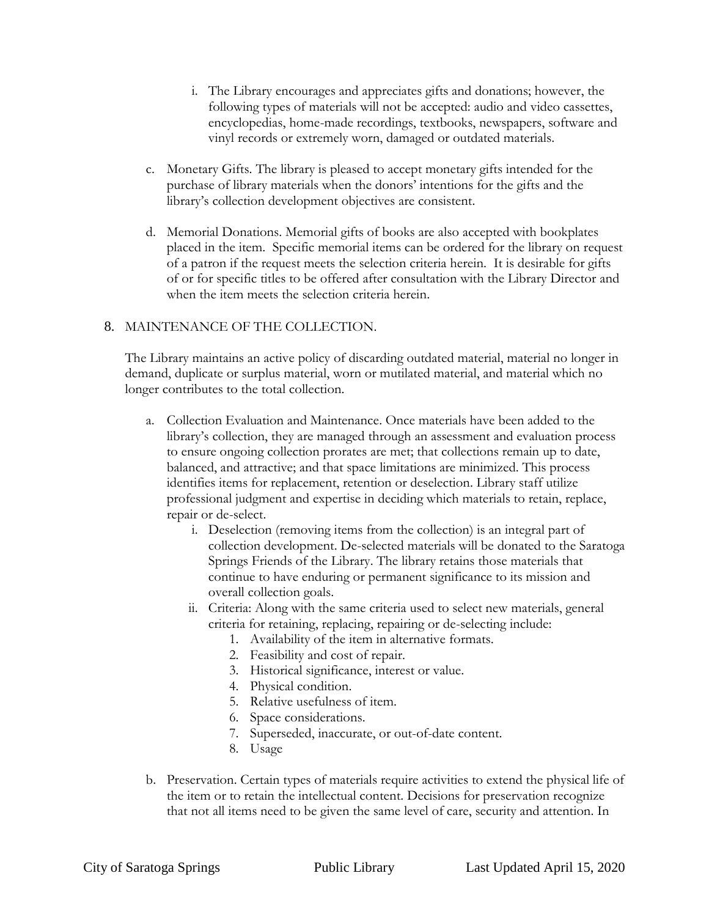- i. The Library encourages and appreciates gifts and donations; however, the following types of materials will not be accepted: audio and video cassettes, encyclopedias, home-made recordings, textbooks, newspapers, software and vinyl records or extremely worn, damaged or outdated materials.
- c. Monetary Gifts. The library is pleased to accept monetary gifts intended for the purchase of library materials when the donors' intentions for the gifts and the library's collection development objectives are consistent.
- d. Memorial Donations. Memorial gifts of books are also accepted with bookplates placed in the item. Specific memorial items can be ordered for the library on request of a patron if the request meets the selection criteria herein. It is desirable for gifts of or for specific titles to be offered after consultation with the Library Director and when the item meets the selection criteria herein.

#### 8. MAINTENANCE OF THE COLLECTION.

The Library maintains an active policy of discarding outdated material, material no longer in demand, duplicate or surplus material, worn or mutilated material, and material which no longer contributes to the total collection.

- a. Collection Evaluation and Maintenance. Once materials have been added to the library's collection, they are managed through an assessment and evaluation process to ensure ongoing collection prorates are met; that collections remain up to date, balanced, and attractive; and that space limitations are minimized. This process identifies items for replacement, retention or deselection. Library staff utilize professional judgment and expertise in deciding which materials to retain, replace, repair or de-select.
	- i. Deselection (removing items from the collection) is an integral part of collection development. De-selected materials will be donated to the Saratoga Springs Friends of the Library. The library retains those materials that continue to have enduring or permanent significance to its mission and overall collection goals.
	- ii. Criteria: Along with the same criteria used to select new materials, general criteria for retaining, replacing, repairing or de-selecting include:
		- 1. Availability of the item in alternative formats.
		- 2. Feasibility and cost of repair.
		- 3. Historical significance, interest or value.
		- 4. Physical condition.
		- 5. Relative usefulness of item.
		- 6. Space considerations.
		- 7. Superseded, inaccurate, or out-of-date content.
		- 8. Usage
- b. Preservation. Certain types of materials require activities to extend the physical life of the item or to retain the intellectual content. Decisions for preservation recognize that not all items need to be given the same level of care, security and attention. In